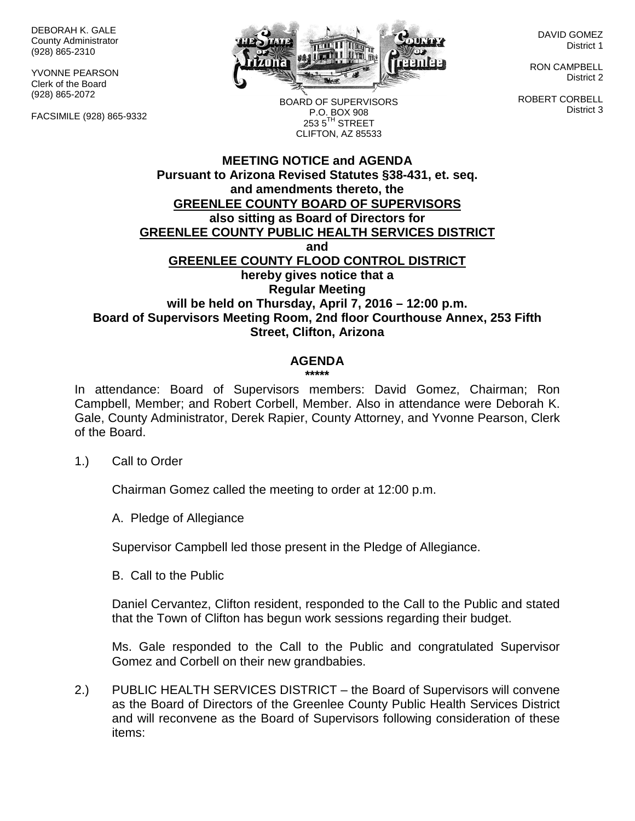DEBORAH K. GALE County Administrator (928) 865-2310

YVONNE PEARSON Clerk of the Board (928) 865-2072

FACSIMILE (928) 865-9332



DAVID GOMEZ District 1

RON CAMPBELL District 2

ROBERT CORBELL District 3

BOARD OF SUPERVISORS P.O. BOX 908  $253.5$ <sup>TH</sup> STREET CLIFTON, AZ 85533

## **MEETING NOTICE and AGENDA Pursuant to Arizona Revised Statutes §38-431, et. seq. and amendments thereto, the GREENLEE COUNTY BOARD OF SUPERVISORS also sitting as Board of Directors for GREENLEE COUNTY PUBLIC HEALTH SERVICES DISTRICT and GREENLEE COUNTY FLOOD CONTROL DISTRICT hereby gives notice that a Regular Meeting will be held on Thursday, April 7, 2016 – 12:00 p.m. Board of Supervisors Meeting Room, 2nd floor Courthouse Annex, 253 Fifth Street, Clifton, Arizona**

## **AGENDA**

**\*\*\*\*\***

In attendance: Board of Supervisors members: David Gomez, Chairman; Ron Campbell, Member; and Robert Corbell, Member. Also in attendance were Deborah K. Gale, County Administrator, Derek Rapier, County Attorney, and Yvonne Pearson, Clerk of the Board.

1.) Call to Order

Chairman Gomez called the meeting to order at 12:00 p.m.

A. Pledge of Allegiance

Supervisor Campbell led those present in the Pledge of Allegiance.

B. Call to the Public

Daniel Cervantez, Clifton resident, responded to the Call to the Public and stated that the Town of Clifton has begun work sessions regarding their budget.

Ms. Gale responded to the Call to the Public and congratulated Supervisor Gomez and Corbell on their new grandbabies.

2.) PUBLIC HEALTH SERVICES DISTRICT – the Board of Supervisors will convene as the Board of Directors of the Greenlee County Public Health Services District and will reconvene as the Board of Supervisors following consideration of these items: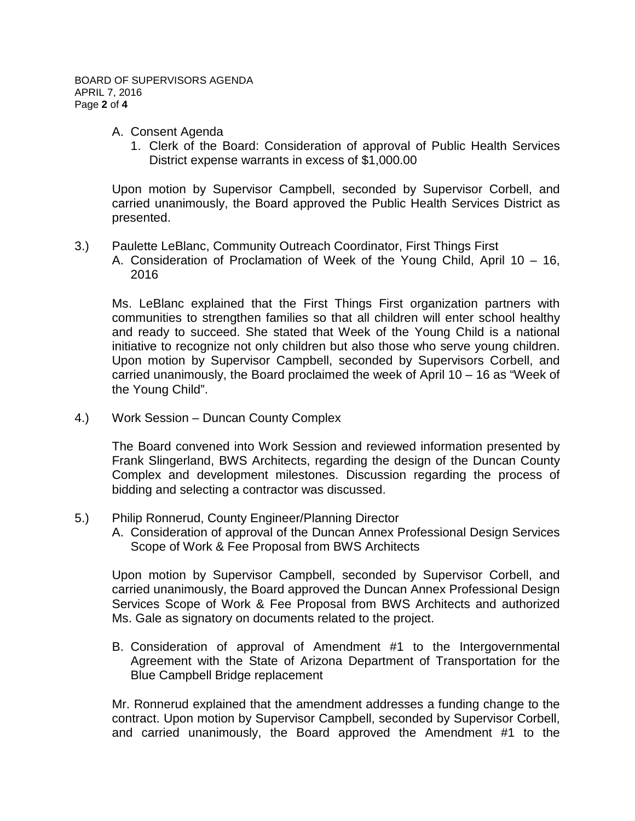- A. Consent Agenda
	- 1. Clerk of the Board: Consideration of approval of Public Health Services District expense warrants in excess of \$1,000.00

Upon motion by Supervisor Campbell, seconded by Supervisor Corbell, and carried unanimously, the Board approved the Public Health Services District as presented.

- 3.) Paulette LeBlanc, Community Outreach Coordinator, First Things First
	- A. Consideration of Proclamation of Week of the Young Child, April 10 16, 2016

Ms. LeBlanc explained that the First Things First organization partners with communities to strengthen families so that all children will enter school healthy and ready to succeed. She stated that Week of the Young Child is a national initiative to recognize not only children but also those who serve young children. Upon motion by Supervisor Campbell, seconded by Supervisors Corbell, and carried unanimously, the Board proclaimed the week of April 10 – 16 as "Week of the Young Child".

4.) Work Session – Duncan County Complex

The Board convened into Work Session and reviewed information presented by Frank Slingerland, BWS Architects, regarding the design of the Duncan County Complex and development milestones. Discussion regarding the process of bidding and selecting a contractor was discussed.

- 5.) Philip Ronnerud, County Engineer/Planning Director
	- A. Consideration of approval of the Duncan Annex Professional Design Services Scope of Work & Fee Proposal from BWS Architects

Upon motion by Supervisor Campbell, seconded by Supervisor Corbell, and carried unanimously, the Board approved the Duncan Annex Professional Design Services Scope of Work & Fee Proposal from BWS Architects and authorized Ms. Gale as signatory on documents related to the project.

B. Consideration of approval of Amendment #1 to the Intergovernmental Agreement with the State of Arizona Department of Transportation for the Blue Campbell Bridge replacement

Mr. Ronnerud explained that the amendment addresses a funding change to the contract. Upon motion by Supervisor Campbell, seconded by Supervisor Corbell, and carried unanimously, the Board approved the Amendment #1 to the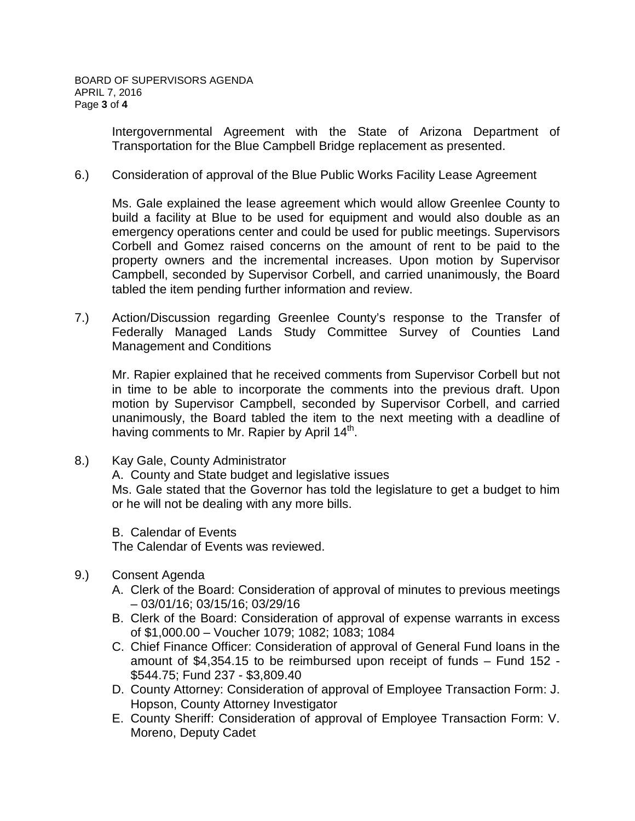Intergovernmental Agreement with the State of Arizona Department of Transportation for the Blue Campbell Bridge replacement as presented.

## 6.) Consideration of approval of the Blue Public Works Facility Lease Agreement

Ms. Gale explained the lease agreement which would allow Greenlee County to build a facility at Blue to be used for equipment and would also double as an emergency operations center and could be used for public meetings. Supervisors Corbell and Gomez raised concerns on the amount of rent to be paid to the property owners and the incremental increases. Upon motion by Supervisor Campbell, seconded by Supervisor Corbell, and carried unanimously, the Board tabled the item pending further information and review.

7.) Action/Discussion regarding Greenlee County's response to the Transfer of Federally Managed Lands Study Committee Survey of Counties Land Management and Conditions

Mr. Rapier explained that he received comments from Supervisor Corbell but not in time to be able to incorporate the comments into the previous draft. Upon motion by Supervisor Campbell, seconded by Supervisor Corbell, and carried unanimously, the Board tabled the item to the next meeting with a deadline of having comments to Mr. Rapier by April  $14<sup>th</sup>$ .

8.) Kay Gale, County Administrator

A. County and State budget and legislative issues

Ms. Gale stated that the Governor has told the legislature to get a budget to him or he will not be dealing with any more bills.

B. Calendar of Events

The Calendar of Events was reviewed.

- 9.) Consent Agenda
	- A. Clerk of the Board: Consideration of approval of minutes to previous meetings – 03/01/16; 03/15/16; 03/29/16
	- B. Clerk of the Board: Consideration of approval of expense warrants in excess of \$1,000.00 – Voucher 1079; 1082; 1083; 1084
	- C. Chief Finance Officer: Consideration of approval of General Fund loans in the amount of \$4,354.15 to be reimbursed upon receipt of funds – Fund 152 - \$544.75; Fund 237 - \$3,809.40
	- D. County Attorney: Consideration of approval of Employee Transaction Form: J. Hopson, County Attorney Investigator
	- E. County Sheriff: Consideration of approval of Employee Transaction Form: V. Moreno, Deputy Cadet